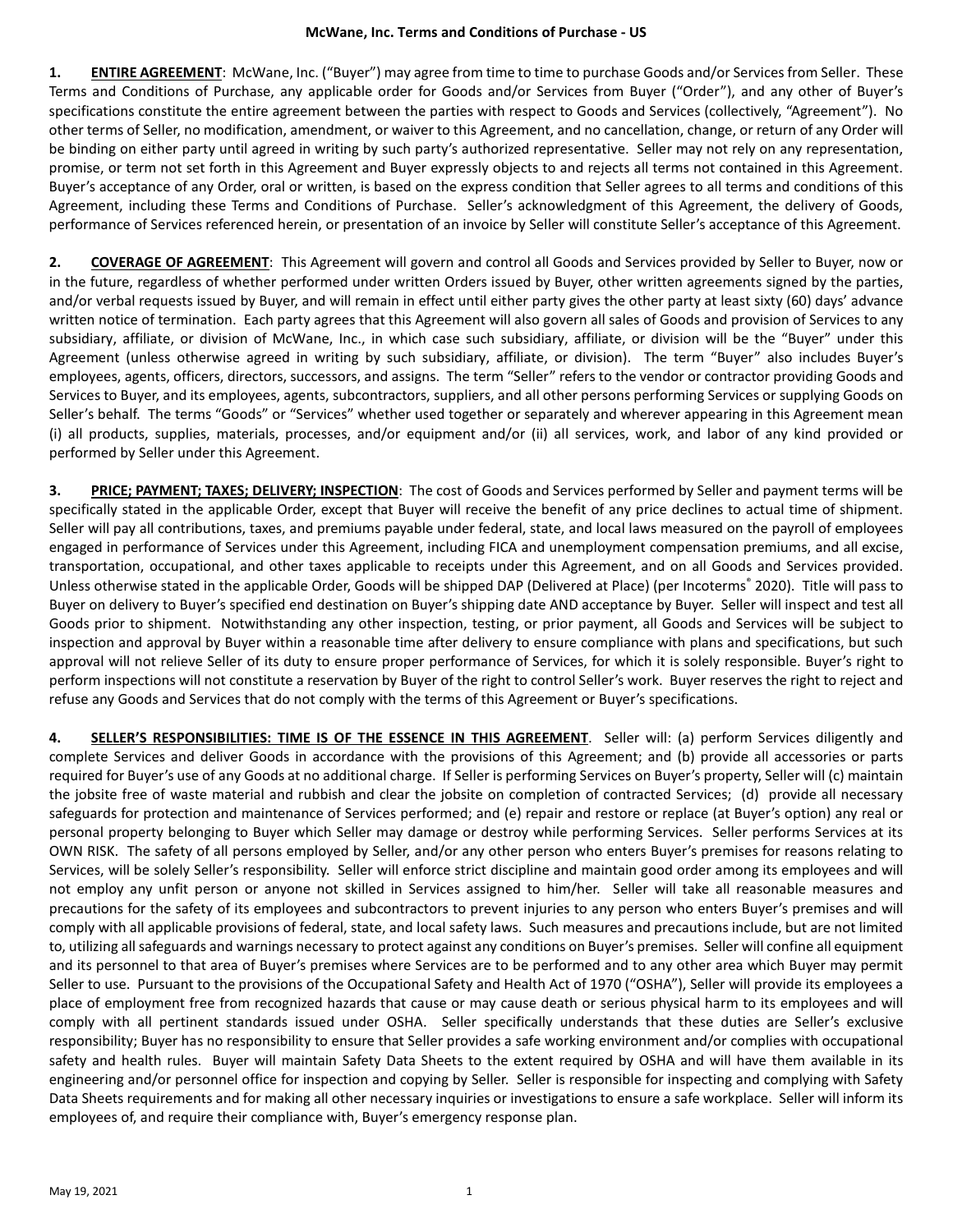**1. ENTIRE AGREEMENT**: McWane, Inc. ("Buyer") may agree from time to time to purchase Goods and/or Services from Seller. These Terms and Conditions of Purchase, any applicable order for Goods and/or Services from Buyer ("Order"), and any other of Buyer's specifications constitute the entire agreement between the parties with respect to Goods and Services (collectively, "Agreement"). No other terms of Seller, no modification, amendment, or waiver to this Agreement, and no cancellation, change, or return of any Order will be binding on either party until agreed in writing by such party's authorized representative. Seller may not rely on any representation, promise, or term not set forth in this Agreement and Buyer expressly objects to and rejects all terms not contained in this Agreement. Buyer's acceptance of any Order, oral or written, is based on the express condition that Seller agrees to all terms and conditions of this Agreement, including these Terms and Conditions of Purchase. Seller's acknowledgment of this Agreement, the delivery of Goods, performance of Services referenced herein, or presentation of an invoice by Seller will constitute Seller's acceptance of this Agreement.

**2. COVERAGE OF AGREEMENT**: This Agreement will govern and control all Goods and Services provided by Seller to Buyer, now or in the future, regardless of whether performed under written Orders issued by Buyer, other written agreements signed by the parties, and/or verbal requests issued by Buyer, and will remain in effect until either party gives the other party at least sixty (60) days' advance written notice of termination. Each party agrees that this Agreement will also govern all sales of Goods and provision of Services to any subsidiary, affiliate, or division of McWane, Inc., in which case such subsidiary, affiliate, or division will be the "Buyer" under this Agreement (unless otherwise agreed in writing by such subsidiary, affiliate, or division). The term "Buyer" also includes Buyer's employees, agents, officers, directors, successors, and assigns. The term "Seller" refers to the vendor or contractor providing Goods and Services to Buyer, and its employees, agents, subcontractors, suppliers, and all other persons performing Services or supplying Goods on Seller's behalf. The terms "Goods" or "Services" whether used together or separately and wherever appearing in this Agreement mean (i) all products, supplies, materials, processes, and/or equipment and/or (ii) all services, work, and labor of any kind provided or performed by Seller under this Agreement.

**3. PRICE; PAYMENT; TAXES; DELIVERY; INSPECTION**: The cost of Goods and Services performed by Seller and payment terms will be specifically stated in the applicable Order, except that Buyer will receive the benefit of any price declines to actual time of shipment. Seller will pay all contributions, taxes, and premiums payable under federal, state, and local laws measured on the payroll of employees engaged in performance of Services under this Agreement, including FICA and unemployment compensation premiums, and all excise, transportation, occupational, and other taxes applicable to receipts under this Agreement, and on all Goods and Services provided. Unless otherwise stated in the applicable Order, Goods will be shipped DAP (Delivered at Place) (per Incoterms® 2020). Title will pass to Buyer on delivery to Buyer's specified end destination on Buyer's shipping date AND acceptance by Buyer. Seller will inspect and test all Goods prior to shipment. Notwithstanding any other inspection, testing, or prior payment, all Goods and Services will be subject to inspection and approval by Buyer within a reasonable time after delivery to ensure compliance with plans and specifications, but such approval will not relieve Seller of its duty to ensure proper performance of Services, for which it is solely responsible. Buyer's right to perform inspections will not constitute a reservation by Buyer of the right to control Seller's work. Buyer reserves the right to reject and refuse any Goods and Services that do not comply with the terms of this Agreement or Buyer's specifications.

**4. SELLER'S RESPONSIBILITIES: TIME IS OF THE ESSENCE IN THIS AGREEMENT**. Seller will: (a) perform Services diligently and complete Services and deliver Goods in accordance with the provisions of this Agreement; and (b) provide all accessories or parts required for Buyer's use of any Goods at no additional charge. If Seller is performing Services on Buyer's property, Seller will (c) maintain the jobsite free of waste material and rubbish and clear the jobsite on completion of contracted Services; (d) provide all necessary safeguards for protection and maintenance of Services performed; and (e) repair and restore or replace (at Buyer's option) any real or personal property belonging to Buyer which Seller may damage or destroy while performing Services. Seller performs Services at its OWN RISK. The safety of all persons employed by Seller, and/or any other person who enters Buyer's premises for reasons relating to Services, will be solely Seller's responsibility. Seller will enforce strict discipline and maintain good order among its employees and will not employ any unfit person or anyone not skilled in Services assigned to him/her. Seller will take all reasonable measures and precautions for the safety of its employees and subcontractors to prevent injuries to any person who enters Buyer's premises and will comply with all applicable provisions of federal, state, and local safety laws. Such measures and precautions include, but are not limited to, utilizing all safeguards and warnings necessary to protect against any conditions on Buyer's premises. Seller will confine all equipment and its personnel to that area of Buyer's premises where Services are to be performed and to any other area which Buyer may permit Seller to use. Pursuant to the provisions of the Occupational Safety and Health Act of 1970 ("OSHA"), Seller will provide its employees a place of employment free from recognized hazards that cause or may cause death or serious physical harm to its employees and will comply with all pertinent standards issued under OSHA. Seller specifically understands that these duties are Seller's exclusive responsibility; Buyer has no responsibility to ensure that Seller provides a safe working environment and/or complies with occupational safety and health rules. Buyer will maintain Safety Data Sheets to the extent required by OSHA and will have them available in its engineering and/or personnel office for inspection and copying by Seller. Seller is responsible for inspecting and complying with Safety Data Sheets requirements and for making all other necessary inquiries or investigations to ensure a safe workplace. Seller will inform its employees of, and require their compliance with, Buyer's emergency response plan.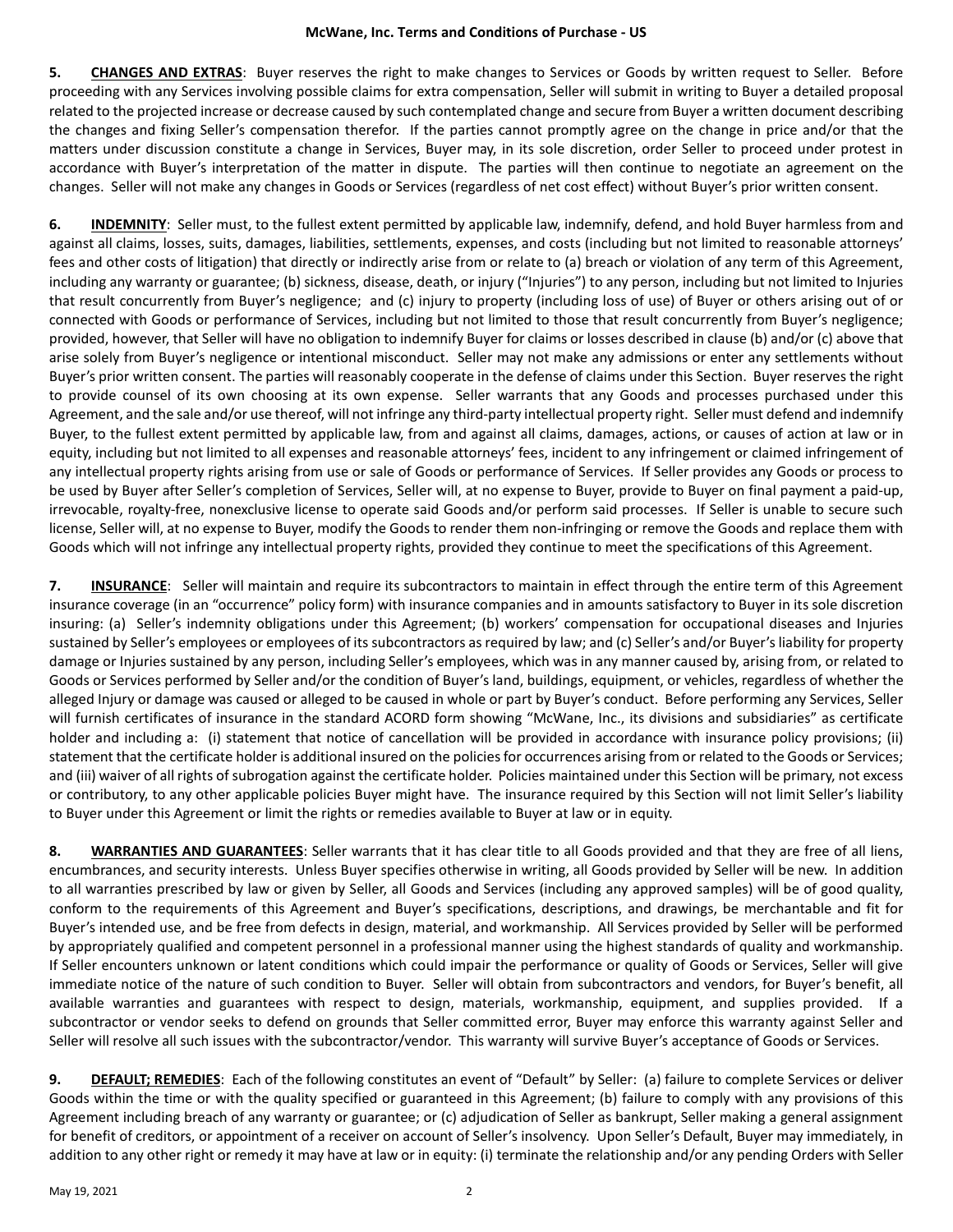**5. CHANGES AND EXTRAS**: Buyer reserves the right to make changes to Services or Goods by written request to Seller. Before proceeding with any Services involving possible claims for extra compensation, Seller will submit in writing to Buyer a detailed proposal related to the projected increase or decrease caused by such contemplated change and secure from Buyer a written document describing the changes and fixing Seller's compensation therefor. If the parties cannot promptly agree on the change in price and/or that the matters under discussion constitute a change in Services, Buyer may, in its sole discretion, order Seller to proceed under protest in accordance with Buyer's interpretation of the matter in dispute. The parties will then continue to negotiate an agreement on the changes. Seller will not make any changes in Goods or Services (regardless of net cost effect) without Buyer's prior written consent.

**6. INDEMNITY**: Seller must, to the fullest extent permitted by applicable law, indemnify, defend, and hold Buyer harmless from and against all claims, losses, suits, damages, liabilities, settlements, expenses, and costs (including but not limited to reasonable attorneys' fees and other costs of litigation) that directly or indirectly arise from or relate to (a) breach or violation of any term of this Agreement, including any warranty or guarantee; (b) sickness, disease, death, or injury ("Injuries") to any person, including but not limited to Injuries that result concurrently from Buyer's negligence; and (c) injury to property (including loss of use) of Buyer or others arising out of or connected with Goods or performance of Services, including but not limited to those that result concurrently from Buyer's negligence; provided, however, that Seller will have no obligation to indemnify Buyer for claims or losses described in clause (b) and/or (c) above that arise solely from Buyer's negligence or intentional misconduct. Seller may not make any admissions or enter any settlements without Buyer's prior written consent. The parties will reasonably cooperate in the defense of claims under this Section. Buyer reserves the right to provide counsel of its own choosing at its own expense. Seller warrants that any Goods and processes purchased under this Agreement, and the sale and/or use thereof, will not infringe any third-party intellectual property right. Seller must defend and indemnify Buyer, to the fullest extent permitted by applicable law, from and against all claims, damages, actions, or causes of action at law or in equity, including but not limited to all expenses and reasonable attorneys' fees, incident to any infringement or claimed infringement of any intellectual property rights arising from use or sale of Goods or performance of Services. If Seller provides any Goods or process to be used by Buyer after Seller's completion of Services, Seller will, at no expense to Buyer, provide to Buyer on final payment a paid-up, irrevocable, royalty-free, nonexclusive license to operate said Goods and/or perform said processes. If Seller is unable to secure such license, Seller will, at no expense to Buyer, modify the Goods to render them non-infringing or remove the Goods and replace them with Goods which will not infringe any intellectual property rights, provided they continue to meet the specifications of this Agreement.

**7. INSURANCE**: Seller will maintain and require its subcontractors to maintain in effect through the entire term of this Agreement insurance coverage (in an "occurrence" policy form) with insurance companies and in amounts satisfactory to Buyer in its sole discretion insuring: (a) Seller's indemnity obligations under this Agreement; (b) workers' compensation for occupational diseases and Injuries sustained by Seller's employees or employees of its subcontractors as required by law; and (c) Seller's and/or Buyer's liability for property damage or Injuries sustained by any person, including Seller's employees, which was in any manner caused by, arising from, or related to Goods or Services performed by Seller and/or the condition of Buyer's land, buildings, equipment, or vehicles, regardless of whether the alleged Injury or damage was caused or alleged to be caused in whole or part by Buyer's conduct. Before performing any Services, Seller will furnish certificates of insurance in the standard ACORD form showing "McWane, Inc., its divisions and subsidiaries" as certificate holder and including a: (i) statement that notice of cancellation will be provided in accordance with insurance policy provisions; (ii) statement that the certificate holder is additional insured on the policies for occurrences arising from or related to the Goods or Services; and (iii) waiver of all rights of subrogation against the certificate holder. Policies maintained under this Section will be primary, not excess or contributory, to any other applicable policies Buyer might have. The insurance required by this Section will not limit Seller's liability to Buyer under this Agreement or limit the rights or remedies available to Buyer at law or in equity.

**8. WARRANTIES AND GUARANTEES**: Seller warrants that it has clear title to all Goods provided and that they are free of all liens, encumbrances, and security interests. Unless Buyer specifies otherwise in writing, all Goods provided by Seller will be new. In addition to all warranties prescribed by law or given by Seller, all Goods and Services (including any approved samples) will be of good quality, conform to the requirements of this Agreement and Buyer's specifications, descriptions, and drawings, be merchantable and fit for Buyer's intended use, and be free from defects in design, material, and workmanship. All Services provided by Seller will be performed by appropriately qualified and competent personnel in a professional manner using the highest standards of quality and workmanship. If Seller encounters unknown or latent conditions which could impair the performance or quality of Goods or Services, Seller will give immediate notice of the nature of such condition to Buyer. Seller will obtain from subcontractors and vendors, for Buyer's benefit, all available warranties and guarantees with respect to design, materials, workmanship, equipment, and supplies provided. If a subcontractor or vendor seeks to defend on grounds that Seller committed error, Buyer may enforce this warranty against Seller and Seller will resolve all such issues with the subcontractor/vendor. This warranty will survive Buyer's acceptance of Goods or Services.

**9. DEFAULT; REMEDIES**: Each of the following constitutes an event of "Default" by Seller: (a) failure to complete Services or deliver Goods within the time or with the quality specified or guaranteed in this Agreement; (b) failure to comply with any provisions of this Agreement including breach of any warranty or guarantee; or (c) adjudication of Seller as bankrupt, Seller making a general assignment for benefit of creditors, or appointment of a receiver on account of Seller's insolvency. Upon Seller's Default, Buyer may immediately, in addition to any other right or remedy it may have at law or in equity: (i) terminate the relationship and/or any pending Orders with Seller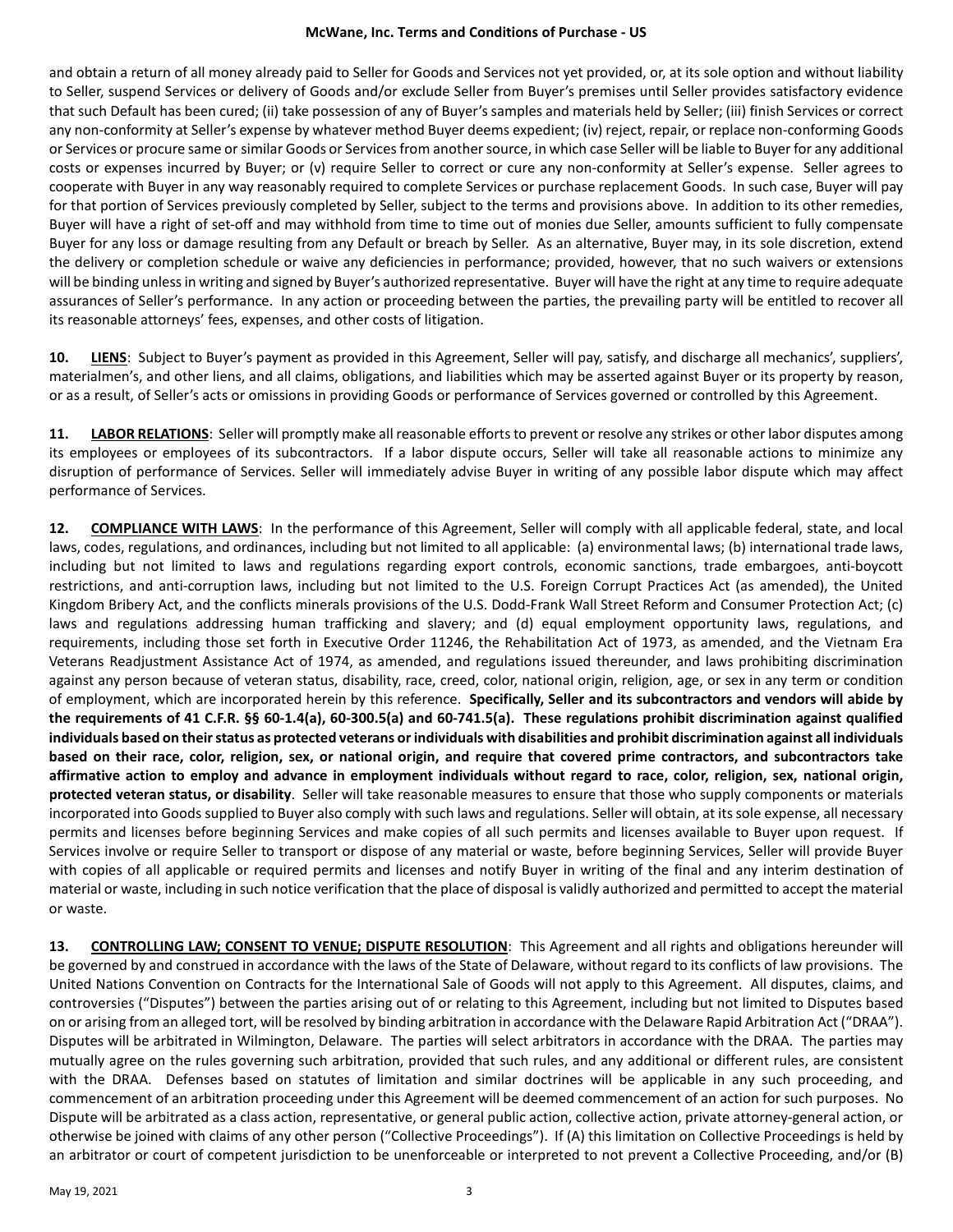## **McWane, Inc. Terms and Conditions of Purchase - US**

and obtain a return of all money already paid to Seller for Goods and Services not yet provided, or, at its sole option and without liability to Seller, suspend Services or delivery of Goods and/or exclude Seller from Buyer's premises until Seller provides satisfactory evidence that such Default has been cured; (ii) take possession of any of Buyer's samples and materials held by Seller; (iii) finish Services or correct any non-conformity at Seller's expense by whatever method Buyer deems expedient; (iv) reject, repair, or replace non-conforming Goods or Services or procure same or similar Goods or Services from another source, in which case Seller will be liable to Buyer for any additional costs or expenses incurred by Buyer; or (v) require Seller to correct or cure any non-conformity at Seller's expense. Seller agrees to cooperate with Buyer in any way reasonably required to complete Services or purchase replacement Goods. In such case, Buyer will pay for that portion of Services previously completed by Seller, subject to the terms and provisions above. In addition to its other remedies, Buyer will have a right of set-off and may withhold from time to time out of monies due Seller, amounts sufficient to fully compensate Buyer for any loss or damage resulting from any Default or breach by Seller. As an alternative, Buyer may, in its sole discretion, extend the delivery or completion schedule or waive any deficiencies in performance; provided, however, that no such waivers or extensions will be binding unless in writing and signed by Buyer's authorized representative. Buyer will have the right at any time to require adequate assurances of Seller's performance. In any action or proceeding between the parties, the prevailing party will be entitled to recover all its reasonable attorneys' fees, expenses, and other costs of litigation.

**10. LIENS**: Subject to Buyer's payment as provided in this Agreement, Seller will pay, satisfy, and discharge all mechanics', suppliers', materialmen's, and other liens, and all claims, obligations, and liabilities which may be asserted against Buyer or its property by reason, or as a result, of Seller's acts or omissions in providing Goods or performance of Services governed or controlled by this Agreement.

**11. LABOR RELATIONS**: Seller will promptly make all reasonable efforts to prevent or resolve any strikes or other labor disputes among its employees or employees of its subcontractors. If a labor dispute occurs, Seller will take all reasonable actions to minimize any disruption of performance of Services. Seller will immediately advise Buyer in writing of any possible labor dispute which may affect performance of Services.

**12. COMPLIANCE WITH LAWS**: In the performance of this Agreement, Seller will comply with all applicable federal, state, and local laws, codes, regulations, and ordinances, including but not limited to all applicable: (a) environmental laws; (b) international trade laws, including but not limited to laws and regulations regarding export controls, economic sanctions, trade embargoes, anti-boycott restrictions, and anti-corruption laws, including but not limited to the U.S. Foreign Corrupt Practices Act (as amended), the United Kingdom Bribery Act, and the conflicts minerals provisions of the U.S. Dodd-Frank Wall Street Reform and Consumer Protection Act; (c) laws and regulations addressing human trafficking and slavery; and (d) equal employment opportunity laws, regulations, and requirements, including those set forth in Executive Order 11246, the Rehabilitation Act of 1973, as amended, and the Vietnam Era Veterans Readjustment Assistance Act of 1974, as amended, and regulations issued thereunder, and laws prohibiting discrimination against any person because of veteran status, disability, race, creed, color, national origin, religion, age, or sex in any term or condition of employment, which are incorporated herein by this reference. **Specifically, Seller and its subcontractors and vendors will abide by the requirements of 41 C.F.R. §§ 60-1.4(a), 60-300.5(a) and 60-741.5(a). These regulations prohibit discrimination against qualified individuals based on their status as protected veterans or individuals with disabilities and prohibit discrimination against all individuals based on their race, color, religion, sex, or national origin, and require that covered prime contractors, and subcontractors take affirmative action to employ and advance in employment individuals without regard to race, color, religion, sex, national origin, protected veteran status, or disability**. Seller will take reasonable measures to ensure that those who supply components or materials incorporated into Goods supplied to Buyer also comply with such laws and regulations. Seller will obtain, at its sole expense, all necessary permits and licenses before beginning Services and make copies of all such permits and licenses available to Buyer upon request. If Services involve or require Seller to transport or dispose of any material or waste, before beginning Services, Seller will provide Buyer with copies of all applicable or required permits and licenses and notify Buyer in writing of the final and any interim destination of material or waste, including in such notice verification that the place of disposal is validly authorized and permitted to accept the material or waste.

**13. CONTROLLING LAW; CONSENT TO VENUE; DISPUTE RESOLUTION**: This Agreement and all rights and obligations hereunder will be governed by and construed in accordance with the laws of the State of Delaware, without regard to its conflicts of law provisions. The United Nations Convention on Contracts for the International Sale of Goods will not apply to this Agreement. All disputes, claims, and controversies ("Disputes") between the parties arising out of or relating to this Agreement, including but not limited to Disputes based on or arising from an alleged tort, will be resolved by binding arbitration in accordance with the Delaware Rapid Arbitration Act ("DRAA"). Disputes will be arbitrated in Wilmington, Delaware. The parties will select arbitrators in accordance with the DRAA. The parties may mutually agree on the rules governing such arbitration, provided that such rules, and any additional or different rules, are consistent with the DRAA. Defenses based on statutes of limitation and similar doctrines will be applicable in any such proceeding, and commencement of an arbitration proceeding under this Agreement will be deemed commencement of an action for such purposes. No Dispute will be arbitrated as a class action, representative, or general public action, collective action, private attorney-general action, or otherwise be joined with claims of any other person ("Collective Proceedings"). If (A) this limitation on Collective Proceedings is held by an arbitrator or court of competent jurisdiction to be unenforceable or interpreted to not prevent a Collective Proceeding, and/or (B)